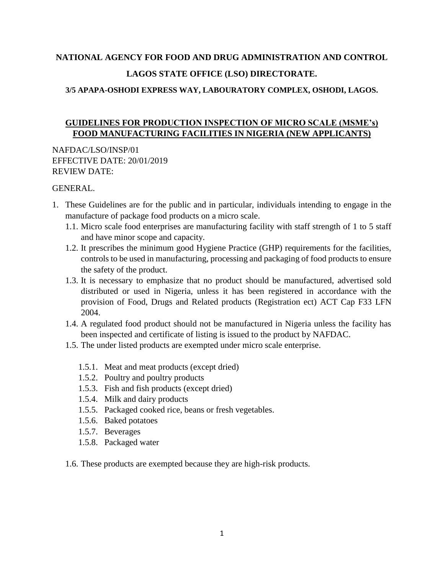# **NATIONAL AGENCY FOR FOOD AND DRUG ADMINISTRATION AND CONTROL LAGOS STATE OFFICE (LSO) DIRECTORATE.**

### **3/5 APAPA-OSHODI EXPRESS WAY, LABOURATORY COMPLEX, OSHODI, LAGOS.**

## **GUIDELINES FOR PRODUCTION INSPECTION OF MICRO SCALE (MSME's) FOOD MANUFACTURING FACILITIES IN NIGERIA (NEW APPLICANTS)**

NAFDAC/LSO/INSP/01 EFFECTIVE DATE: 20/01/2019 REVIEW DATE:

#### GENERAL.

- 1. These Guidelines are for the public and in particular, individuals intending to engage in the manufacture of package food products on a micro scale.
	- 1.1. Micro scale food enterprises are manufacturing facility with staff strength of 1 to 5 staff and have minor scope and capacity.
	- 1.2. It prescribes the minimum good Hygiene Practice (GHP) requirements for the facilities, controls to be used in manufacturing, processing and packaging of food products to ensure the safety of the product.
	- 1.3. It is necessary to emphasize that no product should be manufactured, advertised sold distributed or used in Nigeria, unless it has been registered in accordance with the provision of Food, Drugs and Related products (Registration ect) ACT Cap F33 LFN 2004.
	- 1.4. A regulated food product should not be manufactured in Nigeria unless the facility has been inspected and certificate of listing is issued to the product by NAFDAC.
	- 1.5. The under listed products are exempted under micro scale enterprise.
		- 1.5.1. Meat and meat products (except dried)
		- 1.5.2. Poultry and poultry products
		- 1.5.3. Fish and fish products (except dried)
		- 1.5.4. Milk and dairy products
		- 1.5.5. Packaged cooked rice, beans or fresh vegetables.
		- 1.5.6. Baked potatoes
		- 1.5.7. Beverages
		- 1.5.8. Packaged water
	- 1.6. These products are exempted because they are high-risk products.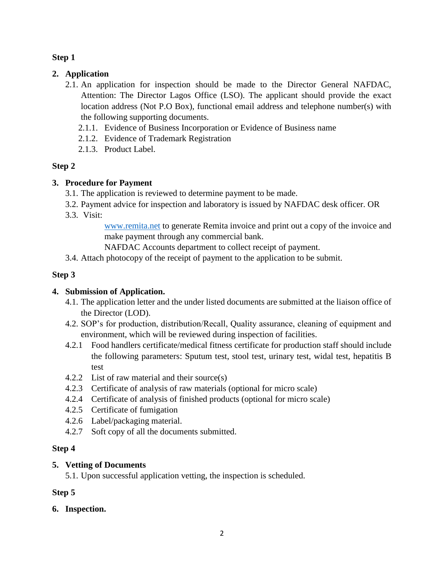### **Step 1**

## **2. Application**

- 2.1. An application for inspection should be made to the Director General NAFDAC, Attention: The Director Lagos Office (LSO). The applicant should provide the exact location address (Not P.O Box), functional email address and telephone number(s) with the following supporting documents.
	- 2.1.1. Evidence of Business Incorporation or Evidence of Business name
	- 2.1.2. Evidence of Trademark Registration
	- 2.1.3. Product Label.

## **Step 2**

## **3. Procedure for Payment**

- 3.1. The application is reviewed to determine payment to be made.
- 3.2. Payment advice for inspection and laboratory is issued by NAFDAC desk officer. OR
- 3.3. Visit:

[www.remita.net](http://www.remita.net/) to generate Remita invoice and print out a copy of the invoice and make payment through any commercial bank.

NAFDAC Accounts department to collect receipt of payment.

3.4. Attach photocopy of the receipt of payment to the application to be submit.

## **Step 3**

## **4. Submission of Application.**

- 4.1. The application letter and the under listed documents are submitted at the liaison office of the Director (LOD).
- 4.2. SOP's for production, distribution/Recall, Quality assurance, cleaning of equipment and environment, which will be reviewed during inspection of facilities.
- 4.2.1 Food handlers certificate/medical fitness certificate for production staff should include the following parameters: Sputum test, stool test, urinary test, widal test, hepatitis B test
- 4.2.2 List of raw material and their source(s)
- 4.2.3 Certificate of analysis of raw materials (optional for micro scale)
- 4.2.4 Certificate of analysis of finished products (optional for micro scale)
- 4.2.5 Certificate of fumigation
- 4.2.6 Label/packaging material.
- 4.2.7 Soft copy of all the documents submitted.

## **Step 4**

## **5. Vetting of Documents**

5.1. Upon successful application vetting, the inspection is scheduled.

## **Step 5**

## **6. Inspection.**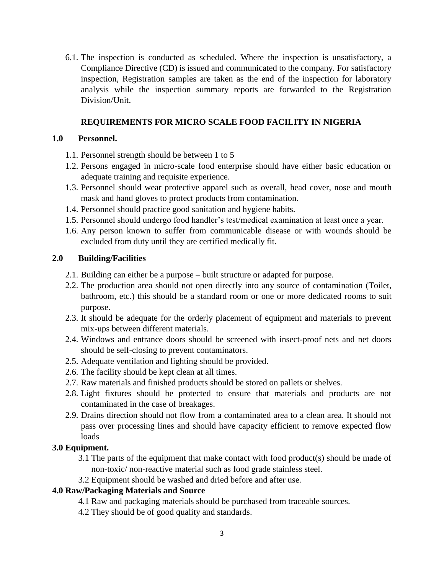6.1. The inspection is conducted as scheduled. Where the inspection is unsatisfactory, a Compliance Directive (CD) is issued and communicated to the company. For satisfactory inspection, Registration samples are taken as the end of the inspection for laboratory analysis while the inspection summary reports are forwarded to the Registration Division/Unit.

#### **REQUIREMENTS FOR MICRO SCALE FOOD FACILITY IN NIGERIA**

#### **1.0 Personnel.**

- 1.1. Personnel strength should be between 1 to 5
- 1.2. Persons engaged in micro-scale food enterprise should have either basic education or adequate training and requisite experience.
- 1.3. Personnel should wear protective apparel such as overall, head cover, nose and mouth mask and hand gloves to protect products from contamination.
- 1.4. Personnel should practice good sanitation and hygiene habits.
- 1.5. Personnel should undergo food handler's test/medical examination at least once a year.
- 1.6. Any person known to suffer from communicable disease or with wounds should be excluded from duty until they are certified medically fit.

#### **2.0 Building/Facilities**

- 2.1. Building can either be a purpose built structure or adapted for purpose.
- 2.2. The production area should not open directly into any source of contamination (Toilet, bathroom, etc.) this should be a standard room or one or more dedicated rooms to suit purpose.
- 2.3. It should be adequate for the orderly placement of equipment and materials to prevent mix-ups between different materials.
- 2.4. Windows and entrance doors should be screened with insect-proof nets and net doors should be self-closing to prevent contaminators.
- 2.5. Adequate ventilation and lighting should be provided.
- 2.6. The facility should be kept clean at all times.
- 2.7. Raw materials and finished products should be stored on pallets or shelves.
- 2.8. Light fixtures should be protected to ensure that materials and products are not contaminated in the case of breakages.
- 2.9. Drains direction should not flow from a contaminated area to a clean area. It should not pass over processing lines and should have capacity efficient to remove expected flow loads

#### **3.0 Equipment.**

- 3.1 The parts of the equipment that make contact with food product(s) should be made of non-toxic/ non-reactive material such as food grade stainless steel.
- 3.2 Equipment should be washed and dried before and after use.

#### **4.0 Raw/Packaging Materials and Source**

- 4.1 Raw and packaging materials should be purchased from traceable sources.
- 4.2 They should be of good quality and standards.